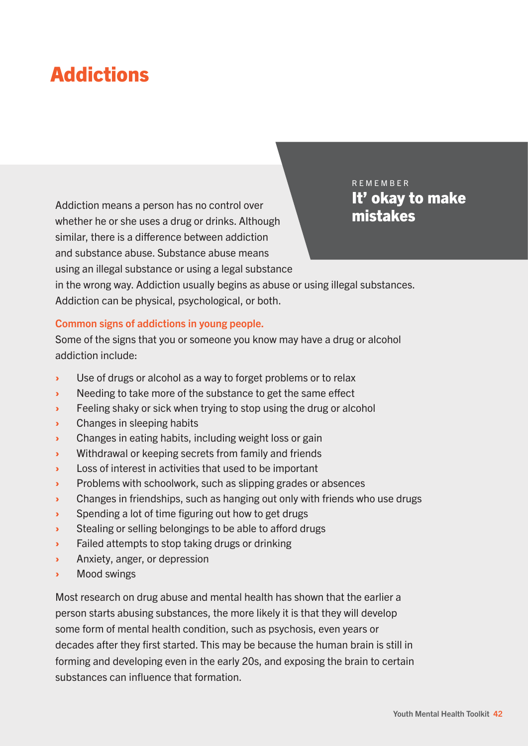## Addictions

Addiction means a person has no control over<br>
whether he er she uses a drug or drinks. Although **historic control over** whether he or she uses a drug or drinks. Although similar, there is a difference between addiction and substance abuse. Substance abuse means using an illegal substance or using a legal substance

## REMEMBER It' okay to make

in the wrong way. Addiction usually begins as abuse or using illegal substances. Addiction can be physical, psychological, or both.

## Common signs of addictions in young people.

Some of the signs that you or someone you know may have a drug or alcohol addiction include:

- › Use of drugs or alcohol as a way to forget problems or to relax
- › Needing to take more of the substance to get the same effect
- **Example 3** Feeling shaky or sick when trying to stop using the drug or alcohol
- › Changes in sleeping habits
- › Changes in eating habits, including weight loss or gain
- › Withdrawal or keeping secrets from family and friends
- **Example 2** Loss of interest in activities that used to be important
- **EXECUTE:** Problems with schoolwork, such as slipping grades or absences
- Changes in friendships, such as hanging out only with friends who use drugs
- › Spending a lot of time figuring out how to get drugs
- **Stealing or selling belongings to be able to afford drugs**
- **Example 2** Failed attempts to stop taking drugs or drinking
- **EXECUTE:** Anxiety, anger, or depression
- › Mood swings

Most research on drug abuse and mental health has shown that the earlier a person starts abusing substances, the more likely it is that they will develop some form of mental health condition, such as psychosis, even years or decades after they first started. This may be because the human brain is still in forming and developing even in the early 20s, and exposing the brain to certain substances can influence that formation.